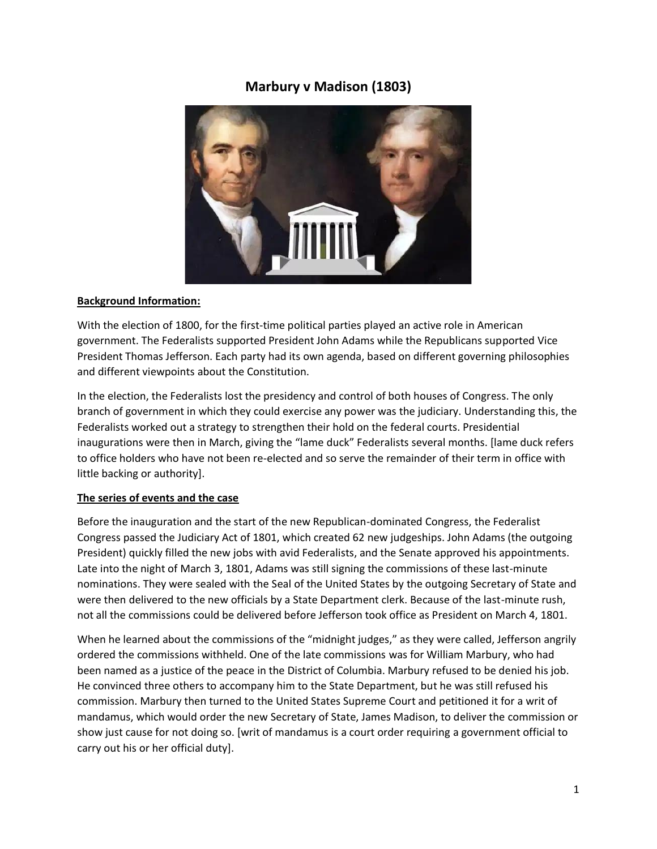# **Marbury v Madison (1803)**



#### **Background Information:**

With the election of 1800, for the first-time political parties played an active role in American government. The Federalists supported President John Adams while the Republicans supported Vice President Thomas Jefferson. Each party had its own agenda, based on different governing philosophies and different viewpoints about the Constitution.

In the election, the Federalists lost the presidency and control of both houses of Congress. The only branch of government in which they could exercise any power was the judiciary. Understanding this, the Federalists worked out a strategy to strengthen their hold on the federal courts. Presidential inaugurations were then in March, giving the "lame duck" Federalists several months. [lame duck refers to office holders who have not been re-elected and so serve the remainder of their term in office with little backing or authority].

#### **The series of events and the case**

Before the inauguration and the start of the new Republican-dominated Congress, the Federalist Congress passed the Judiciary Act of 1801, which created 62 new judgeships. John Adams (the outgoing President) quickly filled the new jobs with avid Federalists, and the Senate approved his appointments. Late into the night of March 3, 1801, Adams was still signing the commissions of these last-minute nominations. They were sealed with the Seal of the United States by the outgoing Secretary of State and were then delivered to the new officials by a State Department clerk. Because of the last-minute rush, not all the commissions could be delivered before Jefferson took office as President on March 4, 1801.

When he learned about the commissions of the "midnight judges," as they were called, Jefferson angrily ordered the commissions withheld. One of the late commissions was for William Marbury, who had been named as a justice of the peace in the District of Columbia. Marbury refused to be denied his job. He convinced three others to accompany him to the State Department, but he was still refused his commission. Marbury then turned to the United States Supreme Court and petitioned it for a writ of mandamus, which would order the new Secretary of State, James Madison, to deliver the commission or show just cause for not doing so. [writ of mandamus is a court order requiring a government official to carry out his or her official duty].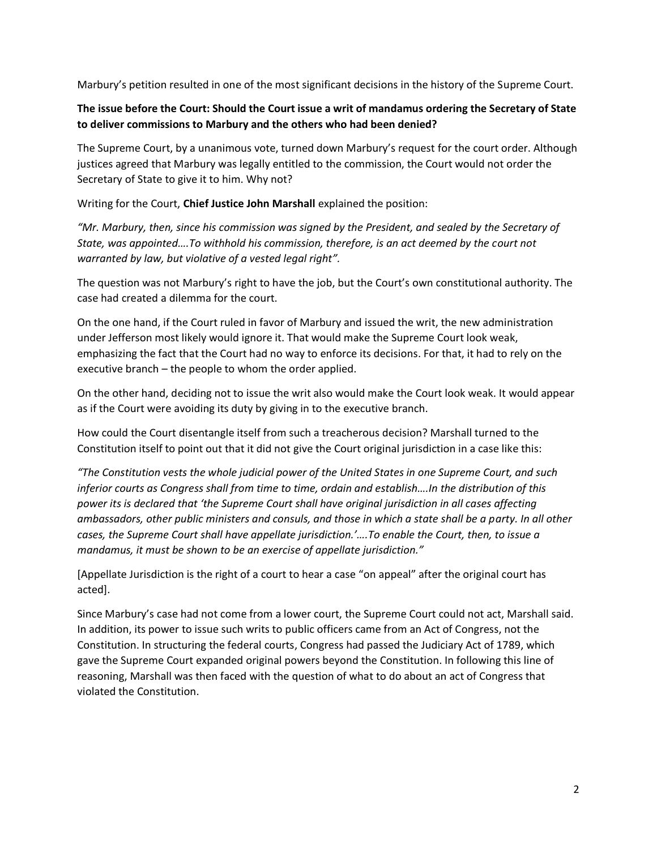Marbury's petition resulted in one of the most significant decisions in the history of the Supreme Court.

## **The issue before the Court: Should the Court issue a writ of mandamus ordering the Secretary of State to deliver commissions to Marbury and the others who had been denied?**

The Supreme Court, by a unanimous vote, turned down Marbury's request for the court order. Although justices agreed that Marbury was legally entitled to the commission, the Court would not order the Secretary of State to give it to him. Why not?

Writing for the Court, **Chief Justice John Marshall** explained the position:

*"Mr. Marbury, then, since his commission was signed by the President, and sealed by the Secretary of State, was appointed….To withhold his commission, therefore, is an act deemed by the court not warranted by law, but violative of a vested legal right".*

The question was not Marbury's right to have the job, but the Court's own constitutional authority. The case had created a dilemma for the court.

On the one hand, if the Court ruled in favor of Marbury and issued the writ, the new administration under Jefferson most likely would ignore it. That would make the Supreme Court look weak, emphasizing the fact that the Court had no way to enforce its decisions. For that, it had to rely on the executive branch – the people to whom the order applied.

On the other hand, deciding not to issue the writ also would make the Court look weak. It would appear as if the Court were avoiding its duty by giving in to the executive branch.

How could the Court disentangle itself from such a treacherous decision? Marshall turned to the Constitution itself to point out that it did not give the Court original jurisdiction in a case like this:

*"The Constitution vests the whole judicial power of the United States in one Supreme Court, and such inferior courts as Congress shall from time to time, ordain and establish….In the distribution of this power its is declared that 'the Supreme Court shall have original jurisdiction in all cases affecting ambassadors, other public ministers and consuls, and those in which a state shall be a party. In all other cases, the Supreme Court shall have appellate jurisdiction.'….To enable the Court, then, to issue a mandamus, it must be shown to be an exercise of appellate jurisdiction."*

[Appellate Jurisdiction is the right of a court to hear a case "on appeal" after the original court has acted].

Since Marbury's case had not come from a lower court, the Supreme Court could not act, Marshall said. In addition, its power to issue such writs to public officers came from an Act of Congress, not the Constitution. In structuring the federal courts, Congress had passed the Judiciary Act of 1789, which gave the Supreme Court expanded original powers beyond the Constitution. In following this line of reasoning, Marshall was then faced with the question of what to do about an act of Congress that violated the Constitution.